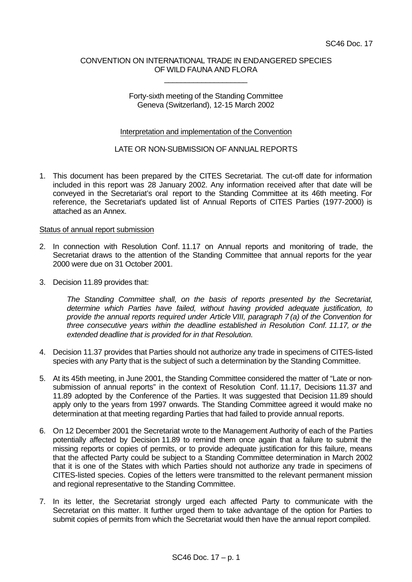# CONVENTION ON INTERNATIONAL TRADE IN ENDANGERED SPECIES OF WILD FAUNA AND FLORA

\_\_\_\_\_\_\_\_\_\_\_\_\_\_\_\_\_\_\_\_

## Forty-sixth meeting of the Standing Committee Geneva (Switzerland), 12-15 March 2002

## Interpretation and implementation of the Convention

# LATE OR NON-SUBMISSION OF ANNUAL REPORTS

1. This document has been prepared by the CITES Secretariat. The cut-off date for information included in this report was 28 January 2002. Any information received after that date will be conveyed in the Secretariat's oral report to the Standing Committee at its 46th meeting. For reference, the Secretariat's updated list of Annual Reports of CITES Parties (1977-2000) is attached as an Annex.

#### Status of annual report submission

- 2. In connection with Resolution Conf. 11.17 on Annual reports and monitoring of trade, the Secretariat draws to the attention of the Standing Committee that annual reports for the year 2000 were due on 31 October 2001.
- 3. Decision 11.89 provides that:

*The Standing Committee shall, on the basis of reports presented by the Secretariat, determine which Parties have failed, without having provided adequate justification, to provide the annual reports required under Article VIII, paragraph 7 (a) of the Convention for three consecutive years within the deadline established in Resolution Conf. 11.17, or the extended deadline that is provided for in that Resolution.*

- 4. Decision 11.37 provides that Parties should not authorize any trade in specimens of CITES-listed species with any Party that is the subject of such a determination by the Standing Committee.
- 5. At its 45th meeting, in June 2001, the Standing Committee considered the matter of "Late or nonsubmission of annual reports" in the context of Resolution Conf. 11.17, Decisions 11.37 and 11.89 adopted by the Conference of the Parties. It was suggested that Decision 11.89 should apply only to the years from 1997 onwards. The Standing Committee agreed it would make no determination at that meeting regarding Parties that had failed to provide annual reports.
- 6. On 12 December 2001 the Secretariat wrote to the Management Authority of each of the Parties potentially affected by Decision 11.89 to remind them once again that a failure to submit the missing reports or copies of permits, or to provide adequate justification for this failure, means that the affected Party could be subject to a Standing Committee determination in March 2002 that it is one of the States with which Parties should not authorize any trade in specimens of CITES-listed species. Copies of the letters were transmitted to the relevant permanent mission and regional representative to the Standing Committee.
- 7. In its letter, the Secretariat strongly urged each affected Party to communicate with the Secretariat on this matter. It further urged them to take advantage of the option for Parties to submit copies of permits from which the Secretariat would then have the annual report compiled.